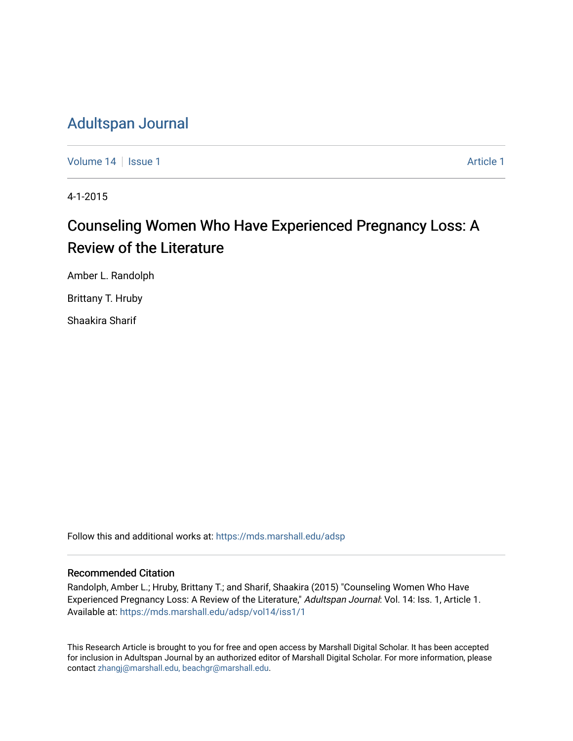## [Adultspan Journal](https://mds.marshall.edu/adsp)

[Volume 14](https://mds.marshall.edu/adsp/vol14) Suitsue 1 [Article 1](https://mds.marshall.edu/adsp/vol14/iss1/1) Article 1 Article 1 Article 1 Article 1 Article 1

4-1-2015

# Counseling Women Who Have Experienced Pregnancy Loss: A Review of the Literature

Amber L. Randolph

Brittany T. Hruby

Shaakira Sharif

Follow this and additional works at: [https://mds.marshall.edu/adsp](https://mds.marshall.edu/adsp?utm_source=mds.marshall.edu%2Fadsp%2Fvol14%2Fiss1%2F1&utm_medium=PDF&utm_campaign=PDFCoverPages) 

## Recommended Citation

Randolph, Amber L.; Hruby, Brittany T.; and Sharif, Shaakira (2015) "Counseling Women Who Have Experienced Pregnancy Loss: A Review of the Literature," Adultspan Journal: Vol. 14: Iss. 1, Article 1. Available at: [https://mds.marshall.edu/adsp/vol14/iss1/1](https://mds.marshall.edu/adsp/vol14/iss1/1?utm_source=mds.marshall.edu%2Fadsp%2Fvol14%2Fiss1%2F1&utm_medium=PDF&utm_campaign=PDFCoverPages) 

This Research Article is brought to you for free and open access by Marshall Digital Scholar. It has been accepted for inclusion in Adultspan Journal by an authorized editor of Marshall Digital Scholar. For more information, please contact [zhangj@marshall.edu, beachgr@marshall.edu](mailto:zhangj@marshall.edu,%20beachgr@marshall.edu).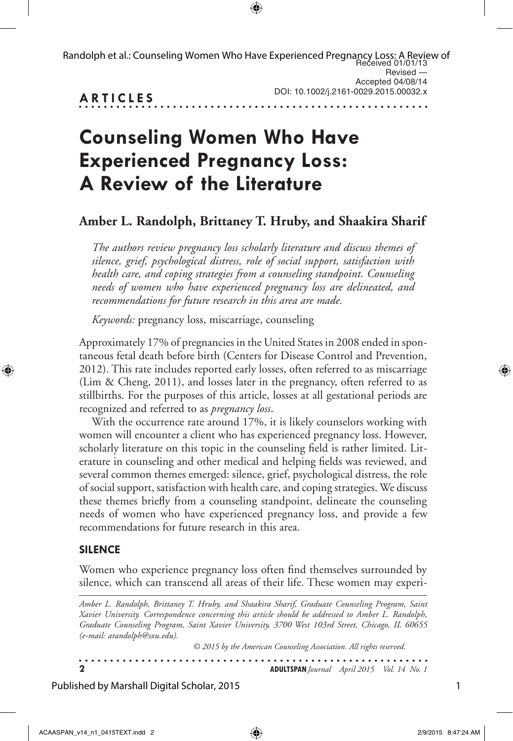| Randolph et al.: Counseling Women Who Have Experienced Pregnancy Loss: A Review of<br>Received 01/01/13 |                                       |
|---------------------------------------------------------------------------------------------------------|---------------------------------------|
|                                                                                                         | Revised —                             |
|                                                                                                         | Accepted 04/08/14                     |
| <b>ARTICLES</b>                                                                                         | DOI: 10.1002/j.2161-0029.2015.00032.x |

# **Counseling Women Who Have Experienced Pregnancy Loss: A Review of the Literature**

## **Amber L. Randolph, Brittaney T. Hruby, and Shaakira Sharif**

*The authors review pregnancy loss scholarly literature and discuss themes of silence, grief, psychological distress, role of social support, satisfaction with health care, and coping strategies from a counseling standpoint. Counseling needs of women who have experienced pregnancy loss are delineated, and recommendations for future research in this area are made.*

*Keywords:* pregnancy loss, miscarriage, counseling

Approximately 17% of pregnancies in the United States in 2008 ended in spontaneous fetal death before birth (Centers for Disease Control and Prevention, 2012). This rate includes reported early losses, often referred to as miscarriage (Lim & Cheng, 2011), and losses later in the pregnancy, often referred to as stillbirths. For the purposes of this article, losses at all gestational periods are recognized and referred to as *pregnancy loss*.

With the occurrence rate around 17%, it is likely counselors working with women will encounter a client who has experienced pregnancy loss. However, scholarly literature on this topic in the counseling field is rather limited. Literature in counseling and other medical and helping fields was reviewed, and several common themes emerged: silence, grief, psychological distress, the role of social support, satisfaction with health care, and coping strategies. We discuss these themes briefly from a counseling standpoint, delineate the counseling needs of women who have experienced pregnancy loss, and provide a few recommendations for future research in this area.

## **Silence**

Women who experience pregnancy loss often find themselves surrounded by silence, which can transcend all areas of their life. These women may experi-

*Amber L. Randolph, Brittaney T. Hruby, and Shaakira Sharif, Graduate Counseling Program, Saint Xavier University. Correspondence concerning this article should be addressed to Amber L. Randolph, Graduate Counseling Program, Saint Xavier University, 3700 West 103rd Street, Chicago, IL 60655 (e-mail: arandolph@sxu.edu).*

| © 2015 by the American Counseling Association. All rights reserved. |                                                   |
|---------------------------------------------------------------------|---------------------------------------------------|
|                                                                     | <b>ADULTSPAN</b> Journal April 2015 Vol. 14 No. 1 |

Published by Marshall Digital Scholar, 2015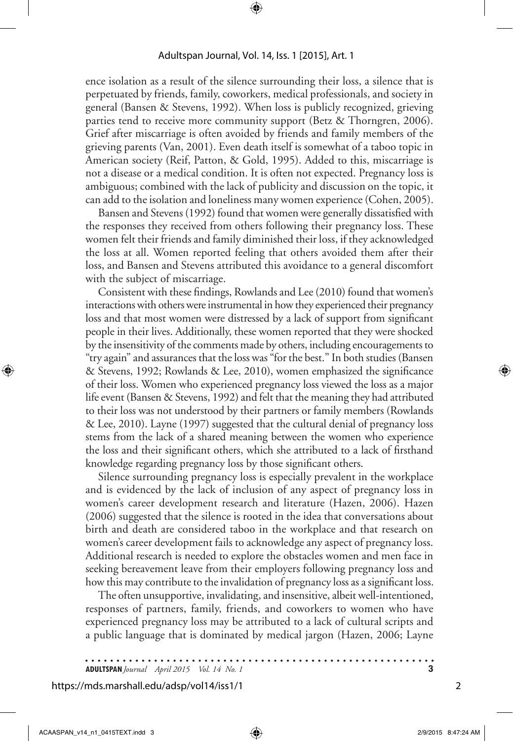ence isolation as a result of the silence surrounding their loss, a silence that is perpetuated by friends, family, coworkers, medical professionals, and society in general (Bansen & Stevens, 1992). When loss is publicly recognized, grieving parties tend to receive more community support (Betz & Thorngren, 2006). Grief after miscarriage is often avoided by friends and family members of the grieving parents (Van, 2001). Even death itself is somewhat of a taboo topic in American society (Reif, Patton, & Gold, 1995). Added to this, miscarriage is not a disease or a medical condition. It is often not expected. Pregnancy loss is ambiguous; combined with the lack of publicity and discussion on the topic, it can add to the isolation and loneliness many women experience (Cohen, 2005).

Bansen and Stevens (1992) found that women were generally dissatisfied with the responses they received from others following their pregnancy loss. These women felt their friends and family diminished their loss, if they acknowledged the loss at all. Women reported feeling that others avoided them after their loss, and Bansen and Stevens attributed this avoidance to a general discomfort with the subject of miscarriage.

Consistent with these findings, Rowlands and Lee (2010) found that women's interactions with others were instrumental in how they experienced their pregnancy loss and that most women were distressed by a lack of support from significant people in their lives. Additionally, these women reported that they were shocked by the insensitivity of the comments made by others, including encouragements to "try again" and assurances that the loss was "for the best." In both studies (Bansen & Stevens, 1992; Rowlands & Lee, 2010), women emphasized the significance of their loss. Women who experienced pregnancy loss viewed the loss as a major life event (Bansen & Stevens, 1992) and felt that the meaning they had attributed to their loss was not understood by their partners or family members (Rowlands & Lee, 2010). Layne (1997) suggested that the cultural denial of pregnancy loss stems from the lack of a shared meaning between the women who experience the loss and their significant others, which she attributed to a lack of firsthand knowledge regarding pregnancy loss by those significant others.

Silence surrounding pregnancy loss is especially prevalent in the workplace and is evidenced by the lack of inclusion of any aspect of pregnancy loss in women's career development research and literature (Hazen, 2006). Hazen (2006) suggested that the silence is rooted in the idea that conversations about birth and death are considered taboo in the workplace and that research on women's career development fails to acknowledge any aspect of pregnancy loss. Additional research is needed to explore the obstacles women and men face in seeking bereavement leave from their employers following pregnancy loss and how this may contribute to the invalidation of pregnancy loss as a significant loss.

The often unsupportive, invalidating, and insensitive, albeit well-intentioned, responses of partners, family, friends, and coworkers to women who have experienced pregnancy loss may be attributed to a lack of cultural scripts and a public language that is dominated by medical jargon (Hazen, 2006; Layne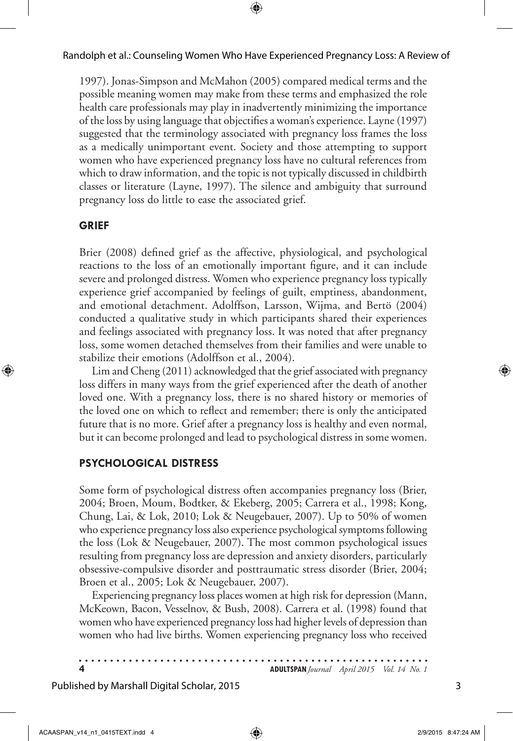1997). Jonas-Simpson and McMahon (2005) compared medical terms and the possible meaning women may make from these terms and emphasized the role health care professionals may play in inadvertently minimizing the importance of the loss by using language that objectifies a woman's experience. Layne (1997) suggested that the terminology associated with pregnancy loss frames the loss as a medically unimportant event. Society and those attempting to support women who have experienced pregnancy loss have no cultural references from which to draw information, and the topic is not typically discussed in childbirth classes or literature (Layne, 1997). The silence and ambiguity that surround pregnancy loss do little to ease the associated grief.

### **Grief**

Brier (2008) defined grief as the affective, physiological, and psychological reactions to the loss of an emotionally important figure, and it can include severe and prolonged distress. Women who experience pregnancy loss typically experience grief accompanied by feelings of guilt, emptiness, abandonment, and emotional detachment. Adolffson, Larsson, Wijma, and Bertö (2004) conducted a qualitative study in which participants shared their experiences and feelings associated with pregnancy loss. It was noted that after pregnancy loss, some women detached themselves from their families and were unable to stabilize their emotions (Adolffson et al., 2004).

Lim and Cheng (2011) acknowledged that the grief associated with pregnancy loss differs in many ways from the grief experienced after the death of another loved one. With a pregnancy loss, there is no shared history or memories of the loved one on which to reflect and remember; there is only the anticipated future that is no more. Grief after a pregnancy loss is healthy and even normal, but it can become prolonged and lead to psychological distress in some women.

## **Psychological Distress**

Some form of psychological distress often accompanies pregnancy loss (Brier, 2004; Broen, Moum, Bodtker, & Ekeberg, 2005; Carrera et al., 1998; Kong, Chung, Lai, & Lok, 2010; Lok & Neugebauer, 2007). Up to 50% of women who experience pregnancy loss also experience psychological symptoms following the loss (Lok & Neugebauer, 2007). The most common psychological issues resulting from pregnancy loss are depression and anxiety disorders, particularly obsessive-compulsive disorder and posttraumatic stress disorder (Brier, 2004; Broen et al., 2005; Lok & Neugebauer, 2007).

Experiencing pregnancy loss places women at high risk for depression (Mann, McKeown, Bacon, Vesselnov, & Bush, 2008). Carrera et al. (1998) found that women who have experienced pregnancy loss had higher levels of depression than women who had live births. Women experiencing pregnancy loss who received

. . . . . . . . . . . . . . . **4 ADULTSPAN***Journal April 2015 Vol. 14 No. 1*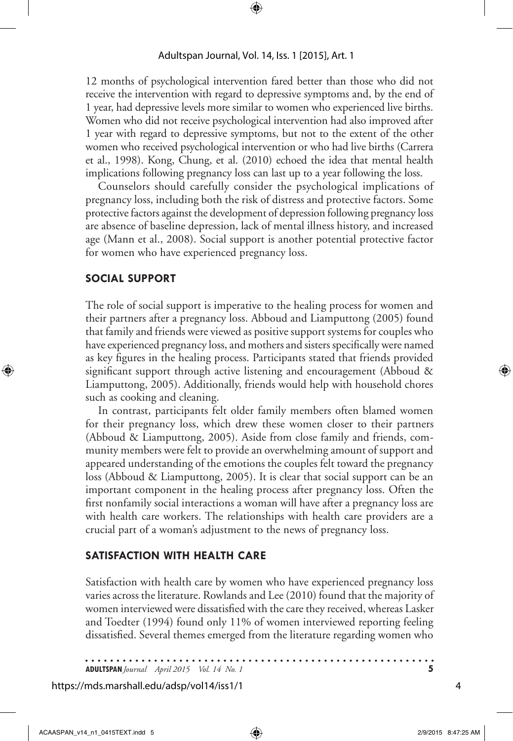12 months of psychological intervention fared better than those who did not receive the intervention with regard to depressive symptoms and, by the end of 1 year, had depressive levels more similar to women who experienced live births. Women who did not receive psychological intervention had also improved after 1 year with regard to depressive symptoms, but not to the extent of the other women who received psychological intervention or who had live births (Carrera et al., 1998). Kong, Chung, et al. (2010) echoed the idea that mental health implications following pregnancy loss can last up to a year following the loss.

Counselors should carefully consider the psychological implications of pregnancy loss, including both the risk of distress and protective factors. Some protective factors against the development of depression following pregnancy loss are absence of baseline depression, lack of mental illness history, and increased age (Mann et al., 2008). Social support is another potential protective factor for women who have experienced pregnancy loss.

## **Social Support**

The role of social support is imperative to the healing process for women and their partners after a pregnancy loss. Abboud and Liamputtong (2005) found that family and friends were viewed as positive support systems for couples who have experienced pregnancy loss, and mothers and sisters specifically were named as key figures in the healing process. Participants stated that friends provided significant support through active listening and encouragement (Abboud & Liamputtong, 2005). Additionally, friends would help with household chores such as cooking and cleaning.

In contrast, participants felt older family members often blamed women for their pregnancy loss, which drew these women closer to their partners (Abboud & Liamputtong, 2005). Aside from close family and friends, community members were felt to provide an overwhelming amount of support and appeared understanding of the emotions the couples felt toward the pregnancy loss (Abboud & Liamputtong, 2005). It is clear that social support can be an important component in the healing process after pregnancy loss. Often the first nonfamily social interactions a woman will have after a pregnancy loss are with health care workers. The relationships with health care providers are a crucial part of a woman's adjustment to the news of pregnancy loss.

#### **Satisfaction With Health Care**

Satisfaction with health care by women who have experienced pregnancy loss varies across the literature. Rowlands and Lee (2010) found that the majority of women interviewed were dissatisfied with the care they received, whereas Lasker and Toedter (1994) found only 11% of women interviewed reporting feeling dissatisfied. Several themes emerged from the literature regarding women who

**ADULTSPAN***Journal April 2015 Vol. 14 No. 1* **5**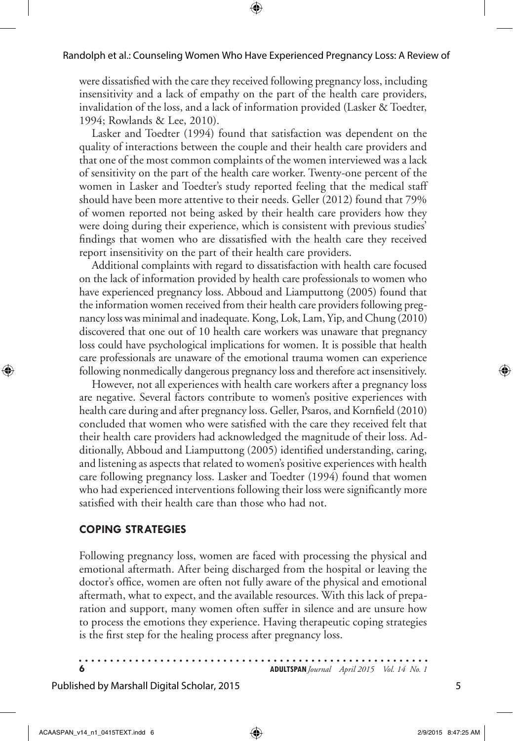were dissatisfied with the care they received following pregnancy loss, including insensitivity and a lack of empathy on the part of the health care providers, invalidation of the loss, and a lack of information provided (Lasker & Toedter, 1994; Rowlands & Lee, 2010).

Lasker and Toedter (1994) found that satisfaction was dependent on the quality of interactions between the couple and their health care providers and that one of the most common complaints of the women interviewed was a lack of sensitivity on the part of the health care worker. Twenty-one percent of the women in Lasker and Toedter's study reported feeling that the medical staff should have been more attentive to their needs. Geller (2012) found that 79% of women reported not being asked by their health care providers how they were doing during their experience, which is consistent with previous studies' findings that women who are dissatisfied with the health care they received report insensitivity on the part of their health care providers.

Additional complaints with regard to dissatisfaction with health care focused on the lack of information provided by health care professionals to women who have experienced pregnancy loss. Abboud and Liamputtong (2005) found that the information women received from their health care providers following pregnancy loss was minimal and inadequate. Kong, Lok, Lam, Yip, and Chung (2010) discovered that one out of 10 health care workers was unaware that pregnancy loss could have psychological implications for women. It is possible that health care professionals are unaware of the emotional trauma women can experience following nonmedically dangerous pregnancy loss and therefore act insensitively.

However, not all experiences with health care workers after a pregnancy loss are negative. Several factors contribute to women's positive experiences with health care during and after pregnancy loss. Geller, Psaros, and Kornfield (2010) concluded that women who were satisfied with the care they received felt that their health care providers had acknowledged the magnitude of their loss. Additionally, Abboud and Liamputtong (2005) identified understanding, caring, and listening as aspects that related to women's positive experiences with health care following pregnancy loss. Lasker and Toedter (1994) found that women who had experienced interventions following their loss were significantly more satisfied with their health care than those who had not.

## **Coping Strategies**

Following pregnancy loss, women are faced with processing the physical and emotional aftermath. After being discharged from the hospital or leaving the doctor's office, women are often not fully aware of the physical and emotional aftermath, what to expect, and the available resources. With this lack of preparation and support, many women often suffer in silence and are unsure how to process the emotions they experience. Having therapeutic coping strategies is the first step for the healing process after pregnancy loss.

**6 ADULTSPAN***Journal April 2015 Vol. 14 No. 1*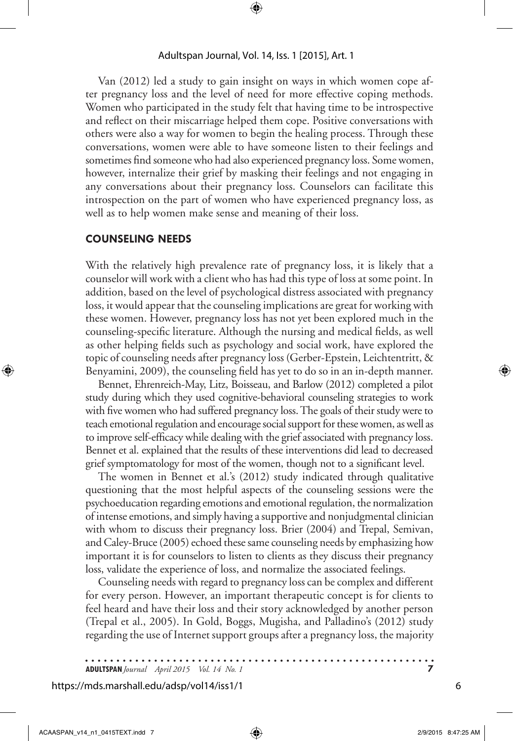Van (2012) led a study to gain insight on ways in which women cope after pregnancy loss and the level of need for more effective coping methods. Women who participated in the study felt that having time to be introspective and reflect on their miscarriage helped them cope. Positive conversations with others were also a way for women to begin the healing process. Through these conversations, women were able to have someone listen to their feelings and sometimes find someone who had also experienced pregnancy loss. Some women, however, internalize their grief by masking their feelings and not engaging in any conversations about their pregnancy loss. Counselors can facilitate this introspection on the part of women who have experienced pregnancy loss, as well as to help women make sense and meaning of their loss.

### **Counseling Needs**

With the relatively high prevalence rate of pregnancy loss, it is likely that a counselor will work with a client who has had this type of loss at some point. In addition, based on the level of psychological distress associated with pregnancy loss, it would appear that the counseling implications are great for working with these women. However, pregnancy loss has not yet been explored much in the counseling-specific literature. Although the nursing and medical fields, as well as other helping fields such as psychology and social work, have explored the topic of counseling needs after pregnancy loss (Gerber-Epstein, Leichtentritt, & Benyamini, 2009), the counseling field has yet to do so in an in-depth manner.

Bennet, Ehrenreich-May, Litz, Boisseau, and Barlow (2012) completed a pilot study during which they used cognitive-behavioral counseling strategies to work with five women who had suffered pregnancy loss. The goals of their study were to teach emotional regulation and encourage social support for these women, as well as to improve self-efficacy while dealing with the grief associated with pregnancy loss. Bennet et al. explained that the results of these interventions did lead to decreased grief symptomatology for most of the women, though not to a significant level.

The women in Bennet et al.'s (2012) study indicated through qualitative questioning that the most helpful aspects of the counseling sessions were the psychoeducation regarding emotions and emotional regulation, the normalization of intense emotions, and simply having a supportive and nonjudgmental clinician with whom to discuss their pregnancy loss. Brier (2004) and Trepal, Semivan, and Caley-Bruce (2005) echoed these same counseling needs by emphasizing how important it is for counselors to listen to clients as they discuss their pregnancy loss, validate the experience of loss, and normalize the associated feelings.

Counseling needs with regard to pregnancy loss can be complex and different for every person. However, an important therapeutic concept is for clients to feel heard and have their loss and their story acknowledged by another person (Trepal et al., 2005). In Gold, Boggs, Mugisha, and Palladino's (2012) study regarding the use of Internet support groups after a pregnancy loss, the majority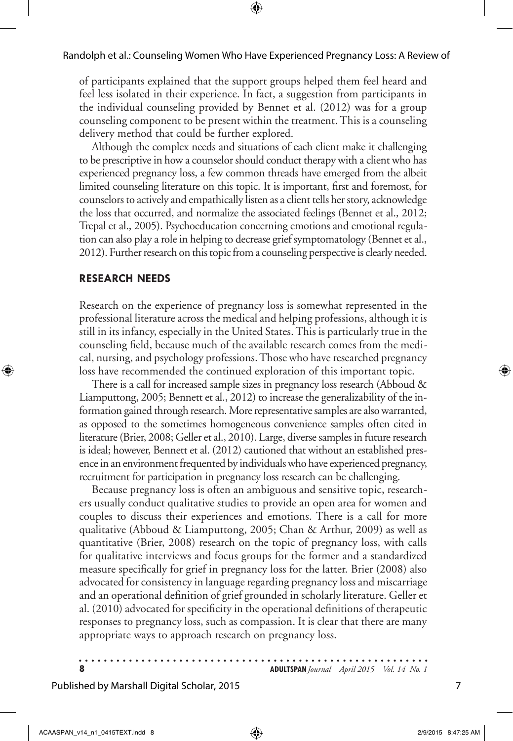#### Randolph et al.: Counseling Women Who Have Experienced Pregnancy Loss: A Review of

of participants explained that the support groups helped them feel heard and feel less isolated in their experience. In fact, a suggestion from participants in the individual counseling provided by Bennet et al. (2012) was for a group counseling component to be present within the treatment. This is a counseling delivery method that could be further explored.

Although the complex needs and situations of each client make it challenging to be prescriptive in how a counselor should conduct therapy with a client who has experienced pregnancy loss, a few common threads have emerged from the albeit limited counseling literature on this topic. It is important, first and foremost, for counselors to actively and empathically listen as a client tells her story, acknowledge the loss that occurred, and normalize the associated feelings (Bennet et al., 2012; Trepal et al., 2005). Psychoeducation concerning emotions and emotional regulation can also play a role in helping to decrease grief symptomatology (Bennet et al., 2012). Further research on this topic from a counseling perspective is clearly needed.

#### **Research Needs**

Research on the experience of pregnancy loss is somewhat represented in the professional literature across the medical and helping professions, although it is still in its infancy, especially in the United States. This is particularly true in the counseling field, because much of the available research comes from the medical, nursing, and psychology professions. Those who have researched pregnancy loss have recommended the continued exploration of this important topic.

There is a call for increased sample sizes in pregnancy loss research (Abboud & Liamputtong, 2005; Bennett et al., 2012) to increase the generalizability of the information gained through research. More representative samples are also warranted, as opposed to the sometimes homogeneous convenience samples often cited in literature (Brier, 2008; Geller et al., 2010). Large, diverse samples in future research is ideal; however, Bennett et al. (2012) cautioned that without an established presence in an environment frequented by individuals who have experienced pregnancy, recruitment for participation in pregnancy loss research can be challenging.

Because pregnancy loss is often an ambiguous and sensitive topic, researchers usually conduct qualitative studies to provide an open area for women and couples to discuss their experiences and emotions. There is a call for more qualitative (Abboud & Liamputtong, 2005; Chan & Arthur, 2009) as well as quantitative (Brier, 2008) research on the topic of pregnancy loss, with calls for qualitative interviews and focus groups for the former and a standardized measure specifically for grief in pregnancy loss for the latter. Brier (2008) also advocated for consistency in language regarding pregnancy loss and miscarriage and an operational definition of grief grounded in scholarly literature. Geller et al. (2010) advocated for specificity in the operational definitions of therapeutic responses to pregnancy loss, such as compassion. It is clear that there are many appropriate ways to approach research on pregnancy loss.

**8 ADULTSPAN***Journal April 2015 Vol. 14 No. 1*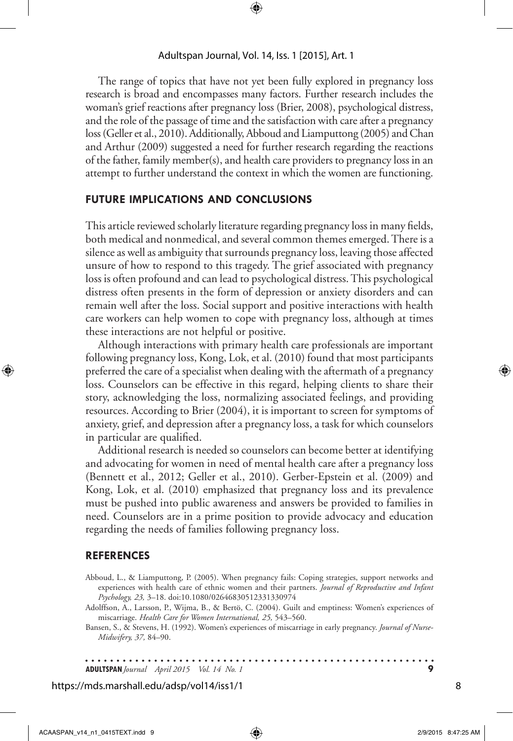The range of topics that have not yet been fully explored in pregnancy loss research is broad and encompasses many factors. Further research includes the woman's grief reactions after pregnancy loss (Brier, 2008), psychological distress, and the role of the passage of time and the satisfaction with care after a pregnancy loss (Geller et al., 2010). Additionally, Abboud and Liamputtong (2005) and Chan and Arthur (2009) suggested a need for further research regarding the reactions of the father, family member(s), and health care providers to pregnancy loss in an attempt to further understand the context in which the women are functioning.

### **Future Implications and Conclusions**

This article reviewed scholarly literature regarding pregnancy loss in many fields, both medical and nonmedical, and several common themes emerged. There is a silence as well as ambiguity that surrounds pregnancy loss, leaving those affected unsure of how to respond to this tragedy. The grief associated with pregnancy loss is often profound and can lead to psychological distress. This psychological distress often presents in the form of depression or anxiety disorders and can remain well after the loss. Social support and positive interactions with health care workers can help women to cope with pregnancy loss, although at times these interactions are not helpful or positive.

Although interactions with primary health care professionals are important following pregnancy loss, Kong, Lok, et al. (2010) found that most participants preferred the care of a specialist when dealing with the aftermath of a pregnancy loss. Counselors can be effective in this regard, helping clients to share their story, acknowledging the loss, normalizing associated feelings, and providing resources. According to Brier (2004), it is important to screen for symptoms of anxiety, grief, and depression after a pregnancy loss, a task for which counselors in particular are qualified.

Additional research is needed so counselors can become better at identifying and advocating for women in need of mental health care after a pregnancy loss (Bennett et al., 2012; Geller et al., 2010). Gerber-Epstein et al. (2009) and Kong, Lok, et al. (2010) emphasized that pregnancy loss and its prevalence must be pushed into public awareness and answers be provided to families in need. Counselors are in a prime position to provide advocacy and education regarding the needs of families following pregnancy loss.

#### **References**

- Abboud, L., & Liamputtong, P. (2005). When pregnancy fails: Coping strategies, support networks and experiences with health care of ethnic women and their partners. *Journal of Reproductive and Infant Psychology, 23,* 3–18. doi:10.1080/02646830512331330974
- Adolffson, A., Larsson, P., Wijma, B., & Bertö, C. (2004). Guilt and emptiness: Women's experiences of miscarriage. *Health Care for Women International, 25,* 543–560.
- Bansen, S., & Stevens, H. (1992). Women's experiences of miscarriage in early pregnancy. *Journal of Nurse-Midwifery, 37,* 84–90.

**ADULTSPAN***Journal April 2015 Vol. 14 No. 1* **9**

#### https://mds.marshall.edu/adsp/vol14/iss1/1